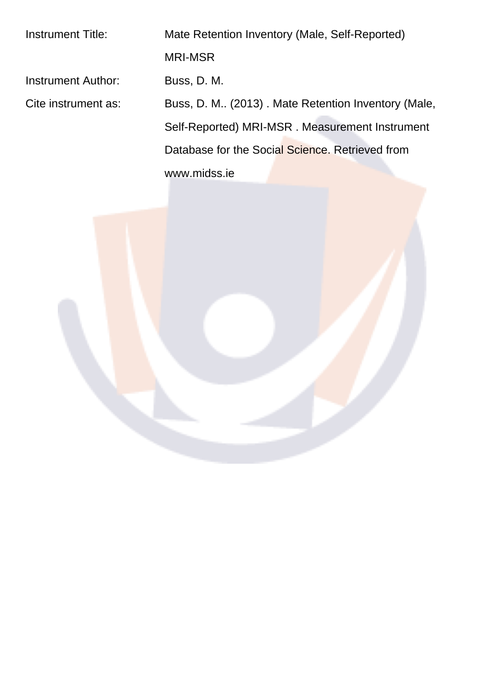Instrument Title: Mate Retention Inventory (Male, Self-Reported) MRI-MSR Instrument Author: Buss, D. M. Cite instrument as: Buss, D. M.. (2013) . Mate Retention Inventory (Male, Self-Reported) MRI-MSR . Measurement Instrument Database for the Social Science. Retrieved from www.midss.ie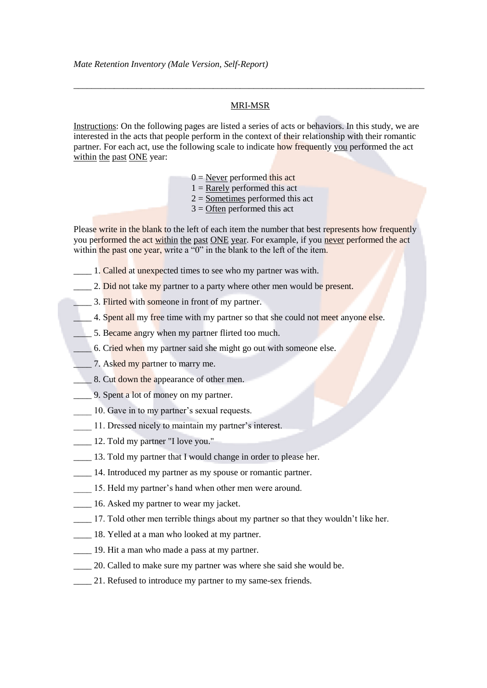## **MRI-MSR**

Instructions: On the following pages are listed a series of acts or behaviors. In this study, we are interested in the acts that people perform in the context of their relationship with their romantic partner. For each act, use the following scale to indicate how frequently you performed the act within the past ONE year:

- $0$  = Never performed this act
- $1 =$ Rarely performed this act
- $2 =$  Sometimes performed this act
- $3 =$  Often performed this act

Please write in the blank to the left of each item the number that best represents how frequently you performed the act within the past ONE year. For example, if you never performed the act within the past one year, write a "0" in the blank to the left of the item.

- 1. Called at unexpected times to see who my partner was with.
- 2. Did not take my partner to a party where other men would be present.
	- 3. Flirted with someone in front of my partner.
	- 4. Spent all my free time with my partner so that she could not meet anyone else.
	- 5. Became angry when my partner flirted too much.
	- 6. Cried when my partner said she might go out with someone else.
- 7. Asked my partner to marry me.
- 8. Cut down the appearance of other men.
- 9. Spent a lot of money on my partner.
- 10. Gave in to my partner's sexual requests.
- 11. Dressed nicely to maintain my partner's interest.
- 12. Told my partner "I love you."
- 13. Told my partner that I would change in order to please her.
- 14. Introduced my partner as my spouse or romantic partner.
- 15. Held my partner's hand when other men were around.
- 16. Asked my partner to wear my jacket.
- 17. Told other men terrible things about my partner so that they wouldn't like her.
- 18. Yelled at a man who looked at my partner.
- 19. Hit a man who made a pass at my partner.
- 20. Called to make sure my partner was where she said she would be.
- 21. Refused to introduce my partner to my same-sex friends.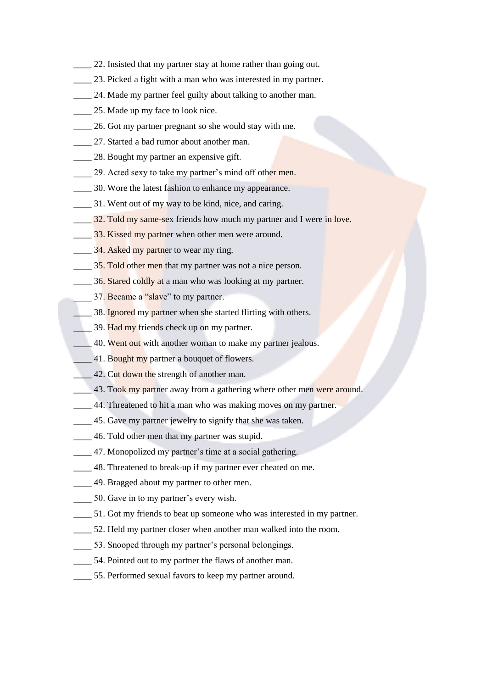- 22. Insisted that my partner stay at home rather than going out.
- 23. Picked a fight with a man who was interested in my partner.
- 24. Made my partner feel guilty about talking to another man.
- 25. Made up my face to look nice.
- 26. Got my partner pregnant so she would stay with me.
- 27. Started a bad rumor about another man.
- 28. Bought my partner an expensive gift.
- 29. Acted sexy to take my partner's mind off other men.
- 30. Wore the latest fashion to enhance my appearance.
- 31. Went out of my way to be kind, nice, and caring.
- 32. Told my same-sex friends how much my partner and I were in love.
- 33. Kissed my partner when other men were around.
- 34. Asked my partner to wear my ring.
- 35. Told other men that my partner was not a nice person.
- 36. Stared coldly at a man who was looking at my partner.
	- 37. Became a "slave" to my partner.
	- 38. Ignored my partner when she started flirting with others.
- 39. Had my friends check up on my partner.
- 40. Went out with another woman to make my partner jealous.
- 41. Bought my partner a bouquet of flowers.
- 42. Cut down the strength of another man.
- 43. Took my partner away from a gathering where other men were around.
- 44. Threatened to hit a man who was making moves on my partner.
- 45. Gave my partner jewelry to signify that she was taken.
- 46. Told other men that my partner was stupid.
- 47. Monopolized my partner's time at a social gathering.
- \_48. Threatened to break-up if my partner ever cheated on me.
- 49. Bragged about my partner to other men.
- 50. Gave in to my partner's every wish.
- 51. Got my friends to beat up someone who was interested in my partner.
- 52. Held my partner closer when another man walked into the room.
- 53. Snooped through my partner's personal belongings.
- 54. Pointed out to my partner the flaws of another man.
- \_\_\_\_\_ 55. Performed sexual favors to keep my partner around.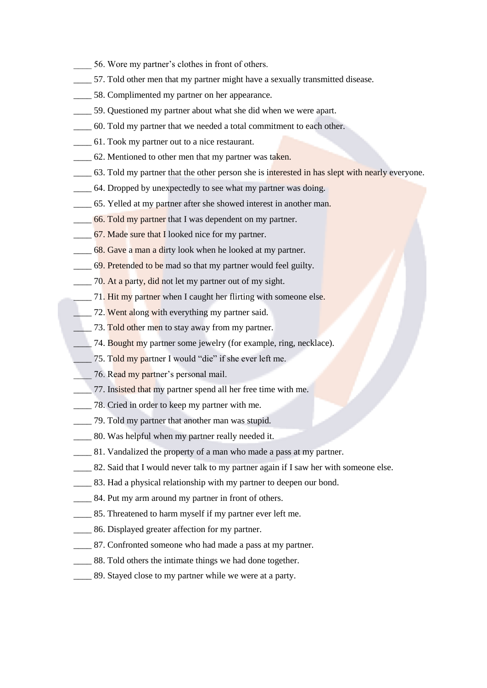- 56. Wore my partner's clothes in front of others.
- 57. Told other men that my partner might have a sexually transmitted disease.
- 58. Complimented my partner on her appearance.
- 59. Questioned my partner about what she did when we were apart.
- \_\_\_ 60. Told my partner that we needed a total commitment to each other.
- \_\_\_\_\_\_ 61. Took my partner out to a nice restaurant.
- 62. Mentioned to other men that my partner was taken.
- 63. Told my partner that the other person she is interested in has slept with nearly everyone.
- 64. Dropped by unexpectedly to see what my partner was doing.
- 65. Yelled at my partner after she showed interest in another man.
- 66. Told my partner that I was dependent on my partner.
- 67. Made sure that I looked nice for my partner.
- 68. Gave a man a dirty look when he looked at my partner.
- 69. Pretended to be mad so that my partner would feel guilty.
- 70. At a party, did not let my partner out of my sight.
- 71. Hit my partner when I caught her flirting with someone else.
	- 72. Went along with everything my partner said.
- 73. Told other men to stay away from my partner.
- 74. Bought my partner some jewelry (for example, ring, necklace).
- 75. Told my partner I would "die" if she ever left me.
	- 76. Read my partner's personal mail.
- 77. Insisted that my partner spend all her free time with me.
- \_\_\_\_\_\_ 78. Cried in order to keep my partner with me.
- 79. Told my partner that another man was stupid.
- 80. Was helpful when my partner really needed it.
- 81. Vandalized the property of a man who made a pass at my partner.
- \_82. Said that I would never talk to my partner again if I saw her with someone else.
- 83. Had a physical relationship with my partner to deepen our bond.
- 84. Put my arm around my partner in front of others.
- 85. Threatened to harm myself if my partner ever left me.
- \_\_\_\_\_\_ 86. Displayed greater affection for my partner.
- \_\_\_\_\_ 87. Confronted someone who had made a pass at my partner.
- 88. Told others the intimate things we had done together.
- \_\_\_\_\_\_ 89. Stayed close to my partner while we were at a party.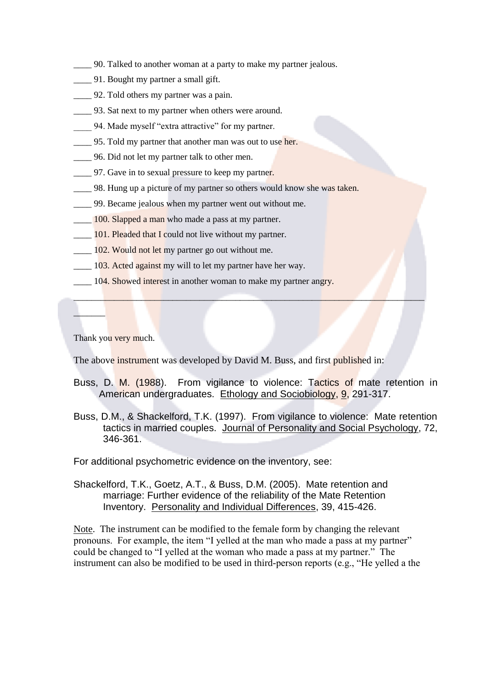- 90. Talked to another woman at a party to make my partner jealous.
- 91. Bought my partner a small gift.
- 92. Told others my partner was a pain.
- 93. Sat next to my partner when others were around.
- 94. Made myself "extra attractive" for my partner.
- 95. Told my partner that another man was out to use her.
- 96. Did not let my partner talk to other men.
- \_\_\_\_\_\_ 97. Gave in to sexual pressure to keep my partner.
- 98. Hung up a picture of my partner so others would know she was taken.
- 99. Became jealous when my partner went out without me.
- 100. Slapped a man who made a pass at my partner.
- 101. Pleaded that I could not live without my partner.
- 102. Would not let my partner go out without me.
- 103. Acted against my will to let my partner have her way.
- 104. Showed interest in another woman to make my partner angry.

Thank you very much.

The above instrument was developed by David M. Buss, and first published in:

- Buss, D. M. (1988). From vigilance to violence: Tactics of mate retention in American undergraduates. Ethology and Sociobiology, 9, 291-317.
- Buss, D.M., & Shackelford, T.K. (1997). From vigilance to violence: Mate retention tactics in married couples. Journal of Personality and Social Psychology, 72, 346-361.

For additional psychometric evidence on the inventory, see:

Shackelford, T.K., Goetz, A.T., & Buss, D.M. (2005). Mate retention and marriage: Further evidence of the reliability of the Mate Retention Inventory. Personality and Individual Differences, 39, 415-426.

Note. The instrument can be modified to the female form by changing the relevant pronouns. For example, the item "I yelled at the man who made a pass at my partner" could be changed to "I velled at the woman who made a pass at my partner." The instrument can also be modified to be used in third-person reports (e.g., "He yelled a the